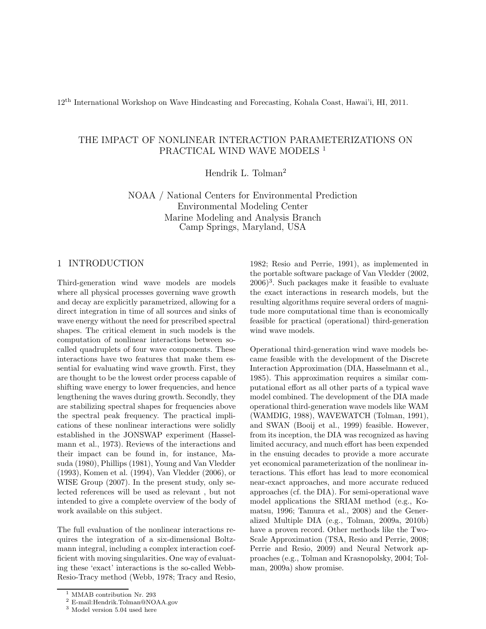12th International Workshop on Wave Hindcasting and Forecasting, Kohala Coast, Hawai'i, HI, 2011.

# THE IMPACT OF NONLINEAR INTERACTION PARAMETERIZATIONS ON PRACTICAL WIND WAVE MODELS<sup>1</sup>

Hendrik L. Tolman<sup>2</sup>

NOAA / National Centers for Environmental Prediction Environmental Modeling Center Marine Modeling and Analysis Branch Camp Springs, Maryland, USA

## 1 INTRODUCTION

Third-generation wind wave models are models where all physical processes governing wave growth and decay are explicitly parametrized, allowing for a direct integration in time of all sources and sinks of wave energy without the need for prescribed spectral shapes. The critical element in such models is the computation of nonlinear interactions between socalled quadruplets of four wave components. These interactions have two features that make them essential for evaluating wind wave growth. First, they are thought to be the lowest order process capable of shifting wave energy to lower frequencies, and hence lengthening the waves during growth. Secondly, they are stabilizing spectral shapes for frequencies above the spectral peak frequency. The practical implications of these nonlinear interactions were solidly established in the JONSWAP experiment (Hasselmann et al., 1973). Reviews of the interactions and their impact can be found in, for instance, Masuda (1980), Phillips (1981), Young and Van Vledder (1993), Komen et al. (1994), Van Vledder (2006), or WISE Group (2007). In the present study, only selected references will be used as relevant , but not intended to give a complete overview of the body of work available on this subject.

The full evaluation of the nonlinear interactions requires the integration of a six-dimensional Boltzmann integral, including a complex interaction coefficient with moving singularities. One way of evaluating these 'exact' interactions is the so-called Webb-Resio-Tracy method (Webb, 1978; Tracy and Resio, 1982; Resio and Perrie, 1991), as implemented in the portable software package of Van Vledder (2002, 2006)<sup>3</sup> . Such packages make it feasible to evaluate the exact interactions in research models, but the resulting algorithms require several orders of magnitude more computational time than is economically feasible for practical (operational) third-generation wind wave models.

Operational third-generation wind wave models became feasible with the development of the Discrete Interaction Approximation (DIA, Hasselmann et al., 1985). This approximation requires a similar computational effort as all other parts of a typical wave model combined. The development of the DIA made operational third-generation wave models like WAM (WAMDIG, 1988), WAVEWATCH (Tolman, 1991), and SWAN (Booij et al., 1999) feasible. However, from its inception, the DIA was recognized as having limited accuracy, and much effort has been expended in the ensuing decades to provide a more accurate yet economical parameterization of the nonlinear interactions. This effort has lead to more economical near-exact approaches, and more accurate reduced approaches (cf. the DIA). For semi-operational wave model applications the SRIAM method (e.g., Komatsu, 1996; Tamura et al., 2008) and the Generalized Multiple DIA (e.g., Tolman, 2009a, 2010b) have a proven record. Other methods like the Two-Scale Approximation (TSA, Resio and Perrie, 2008; Perrie and Resio, 2009) and Neural Network approaches (e.g., Tolman and Krasnopolsky, 2004; Tolman, 2009a) show promise.

<sup>&</sup>lt;sup>1</sup> MMAB contribution Nr. 293

<sup>2</sup> E-mail:Hendrik.Tolman@NOAA.gov

<sup>3</sup> Model version 5.04 used here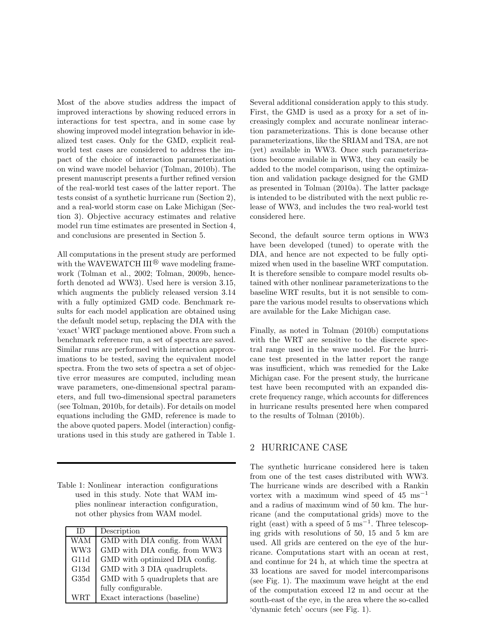Most of the above studies address the impact of improved interactions by showing reduced errors in interactions for test spectra, and in some case by showing improved model integration behavior in idealized test cases. Only for the GMD, explicit realworld test cases are considered to address the impact of the choice of interaction parameterization on wind wave model behavior (Tolman, 2010b). The present manuscript presents a further refined version of the real-world test cases of the latter report. The tests consist of a synthetic hurricane run (Section 2), and a real-world storm case on Lake Michigan (Section 3). Objective accuracy estimates and relative model run time estimates are presented in Section 4, and conclusions are presented in Section 5.

All computations in the present study are performed with the WAVEWATCH  $III^{\circledR}$  wave modeling framework (Tolman et al., 2002; Tolman, 2009b, henceforth denoted ad WW3). Used here is version 3.15, which augments the publicly released version 3.14 with a fully optimized GMD code. Benchmark results for each model application are obtained using the default model setup, replacing the DIA with the 'exact' WRT package mentioned above. From such a benchmark reference run, a set of spectra are saved. Similar runs are performed with interaction approximations to be tested, saving the equivalent model spectra. From the two sets of spectra a set of objective error measures are computed, including mean wave parameters, one-dimensional spectral parameters, and full two-dimensional spectral parameters (see Tolman, 2010b, for details). For details on model equations including the GMD, reference is made to the above quoted papers. Model (interaction) configurations used in this study are gathered in Table 1.

Table 1: Nonlinear interaction configurations used in this study. Note that WAM implies nonlinear interaction configuration, not other physics from WAM model.

| ΙD         | Description                     |
|------------|---------------------------------|
| <b>WAM</b> | GMD with DIA config. from WAM   |
| WW3        | GMD with DIA config. from WW3   |
| G11d       | GMD with optimized DIA config.  |
| G13d       | GMD with 3 DIA quadruplets.     |
| G35d       | GMD with 5 quadruplets that are |
|            | fully configurable.             |
|            | Exact interactions (baseline)   |

Several additional consideration apply to this study. First, the GMD is used as a proxy for a set of increasingly complex and accurate nonlinear interaction parameterizations. This is done because other parameterizations, like the SRIAM and TSA, are not (yet) available in WW3. Once such parameterizations become available in WW3, they can easily be added to the model comparison, using the optimization and validation package designed for the GMD as presented in Tolman (2010a). The latter package is intended to be distributed with the next public release of WW3, and includes the two real-world test considered here.

Second, the default source term options in WW3 have been developed (tuned) to operate with the DIA, and hence are not expected to be fully optimized when used in the baseline WRT computation. It is therefore sensible to compare model results obtained with other nonlinear parameterizations to the baseline WRT results, but it is not sensible to compare the various model results to observations which are available for the Lake Michigan case.

Finally, as noted in Tolman (2010b) computations with the WRT are sensitive to the discrete spectral range used in the wave model. For the hurricane test presented in the latter report the range was insufficient, which was remedied for the Lake Michigan case. For the present study, the hurricane test have been recomputed with an expanded discrete frequency range, which accounts for differences in hurricane results presented here when compared to the results of Tolman (2010b).

### 2 HURRICANE CASE

The synthetic hurricane considered here is taken from one of the test cases distributed with WW3. The hurricane winds are described with a Rankin vortex with a maximum wind speed of  $45 \text{ ms}^{-1}$ and a radius of maximum wind of 50 km. The hurricane (and the computational grids) move to the right (east) with a speed of  $5 \text{ ms}^{-1}$ . Three telescoping grids with resolutions of 50, 15 and 5 km are used. All grids are centered on the eye of the hurricane. Computations start with an ocean at rest, and continue for 24 h, at which time the spectra at 33 locations are saved for model intercomparisons (see Fig. 1). The maximum wave height at the end of the computation exceed 12 m and occur at the south-east of the eye, in the area where the so-called 'dynamic fetch' occurs (see Fig. 1).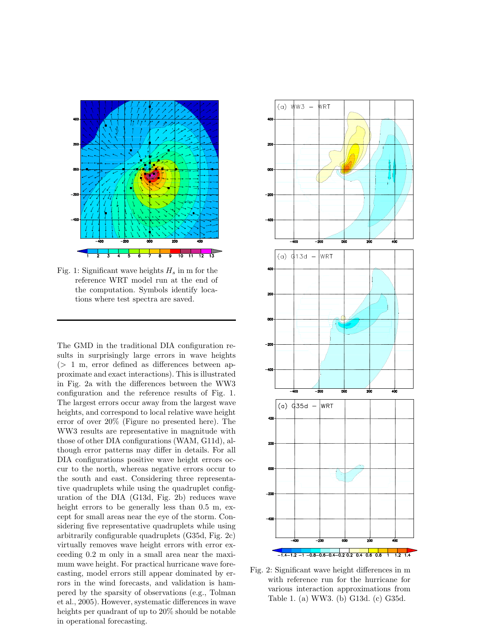

Fig. 1: Significant wave heights  $H_s$  in m for the reference WRT model run at the end of the computation. Symbols identify locations where test spectra are saved.

The GMD in the traditional DIA configuration results in surprisingly large errors in wave heights  $(> 1 \text{ m}, \text{ error defined as differences between ap-}$ proximate and exact interactions). This is illustrated in Fig. 2a with the differences between the WW3 configuration and the reference results of Fig. 1. The largest errors occur away from the largest wave heights, and correspond to local relative wave height error of over 20% (Figure no presented here). The WW3 results are representative in magnitude with those of other DIA configurations (WAM, G11d), although error patterns may differ in details. For all DIA configurations positive wave height errors occur to the north, whereas negative errors occur to the south and east. Considering three representative quadruplets while using the quadruplet configuration of the DIA (G13d, Fig. 2b) reduces wave height errors to be generally less than  $0.5$  m, except for small areas near the eye of the storm. Considering five representative quadruplets while using arbitrarily configurable quadruplets (G35d, Fig. 2c) virtually removes wave height errors with error exceeding 0.2 m only in a small area near the maximum wave height. For practical hurricane wave forecasting, model errors still appear dominated by errors in the wind forecasts, and validation is hampered by the sparsity of observations (e.g., Tolman et al., 2005). However, systematic differences in wave heights per quadrant of up to 20% should be notable in operational forecasting.



Fig. 2: Significant wave height differences in m with reference run for the hurricane for various interaction approximations from Table 1. (a) WW3. (b) G13d. (c) G35d.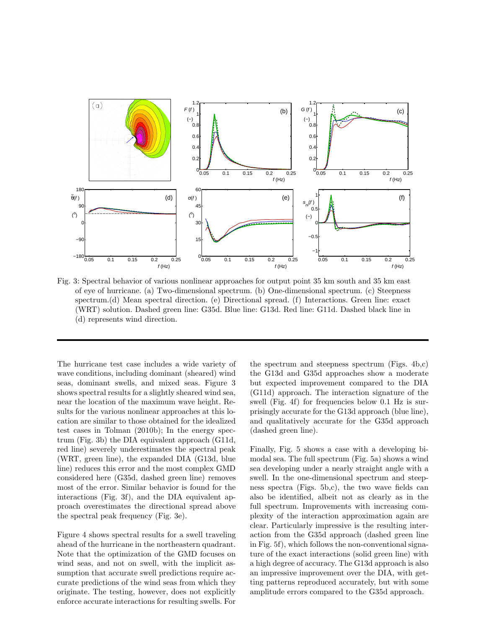

Fig. 3: Spectral behavior of various nonlinear approaches for output point 35 km south and 35 km east of eye of hurricane. (a) Two-dimensional spectrum. (b) One-dimensional spectrum. (c) Steepness spectrum.(d) Mean spectral direction. (e) Directional spread. (f) Interactions. Green line: exact (WRT) solution. Dashed green line: G35d. Blue line: G13d. Red line: G11d. Dashed black line in (d) represents wind direction.

The hurricane test case includes a wide variety of wave conditions, including dominant (sheared) wind seas, dominant swells, and mixed seas. Figure 3 shows spectral results for a slightly sheared wind sea, near the location of the maximum wave height. Results for the various nonlinear approaches at this location are similar to those obtained for the idealized test cases in Tolman (2010b); In the energy spectrum (Fig. 3b) the DIA equivalent approach (G11d, red line) severely underestimates the spectral peak (WRT, green line), the expanded DIA (G13d, blue line) reduces this error and the most complex GMD considered here (G35d, dashed green line) removes most of the error. Similar behavior is found for the interactions (Fig. 3f), and the DIA equivalent approach overestimates the directional spread above the spectral peak frequency (Fig. 3e).

Figure 4 shows spectral results for a swell traveling ahead of the hurricane in the northeastern quadrant. Note that the optimization of the GMD focuses on wind seas, and not on swell, with the implicit assumption that accurate swell predictions require accurate predictions of the wind seas from which they originate. The testing, however, does not explicitly enforce accurate interactions for resulting swells. For the spectrum and steepness spectrum (Figs. 4b,c) the G13d and G35d approaches show a moderate but expected improvement compared to the DIA (G11d) approach. The interaction signature of the swell (Fig. 4f) for frequencies below 0.1 Hz is surprisingly accurate for the G13d approach (blue line), and qualitatively accurate for the G35d approach (dashed green line).

Finally, Fig. 5 shows a case with a developing bimodal sea. The full spectrum (Fig. 5a) shows a wind sea developing under a nearly straight angle with a swell. In the one-dimensional spectrum and steepness spectra (Figs. 5b,c), the two wave fields can also be identified, albeit not as clearly as in the full spectrum. Improvements with increasing complexity of the interaction approximation again are clear. Particularly impressive is the resulting interaction from the G35d approach (dashed green line in Fig. 5f), which follows the non-conventional signature of the exact interactions (solid green line) with a high degree of accuracy. The G13d approach is also an impressive improvement over the DIA, with getting patterns reproduced accurately, but with some amplitude errors compared to the G35d approach.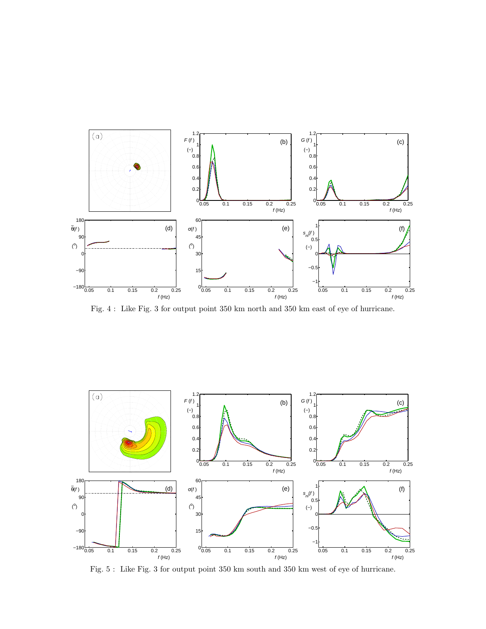

Fig. 4 : Like Fig. 3 for output point 350 km north and 350 km east of eye of hurricane.



Fig. 5 : Like Fig. 3 for output point 350 km south and 350 km west of eye of hurricane.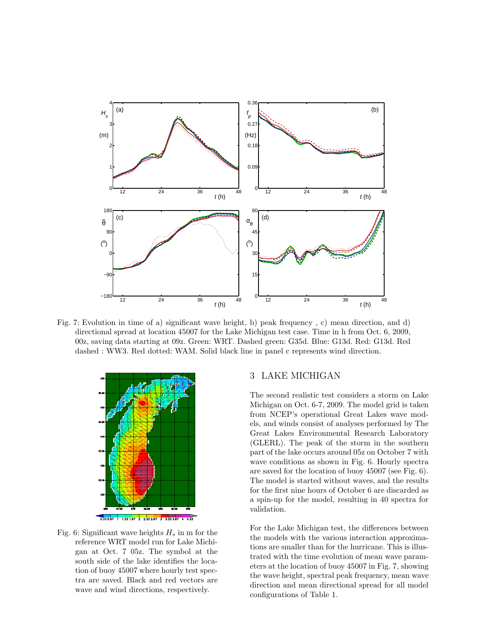

Fig. 7: Evolution in time of a) significant wave height, b) peak frequency , c) mean direction, and d) directional spread at location 45007 for the Lake Michigan test case. Time in h from Oct. 6, 2009, 00z, saving data starting at 09z. Green: WRT. Dashed green: G35d. Blue: G13d. Red: G13d. Red dashed : WW3. Red dotted: WAM. Solid black line in panel c represents wind direction.



Fig. 6: Significant wave heights  $H_s$  in m for the reference WRT model run for Lake Michigan at Oct. 7 05z. The symbol at the south side of the lake identifies the location of buoy 45007 where hourly test spectra are saved. Black and red vectors are wave and wind directions, respectively.

## 3 LAKE MICHIGAN

The second realistic test considers a storm on Lake Michigan on Oct. 6-7, 2009. The model grid is taken from NCEP's operational Great Lakes wave models, and winds consist of analyses performed by The Great Lakes Environmental Research Laboratory (GLERL). The peak of the storm in the southern part of the lake occurs around 05z on October 7 with wave conditions as shown in Fig. 6. Hourly spectra are saved for the location of buoy 45007 (see Fig. 6). The model is started without waves, and the results for the first nine hours of October 6 are discarded as a spin-up for the model, resulting in 40 spectra for validation.

For the Lake Michigan test, the differences between the models with the various interaction approximations are smaller than for the hurricane. This is illustrated with the time evolution of mean wave parameters at the location of buoy 45007 in Fig. 7, showing the wave height, spectral peak frequency, mean wave direction and mean directional spread for all model configurations of Table 1.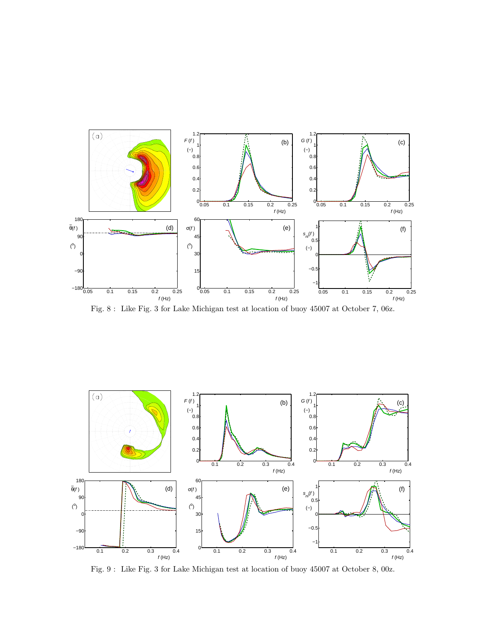

Fig. 8 : Like Fig. 3 for Lake Michigan test at location of buoy 45007 at October 7, 06z.



Fig. 9 : Like Fig. 3 for Lake Michigan test at location of buoy 45007 at October 8, 00z.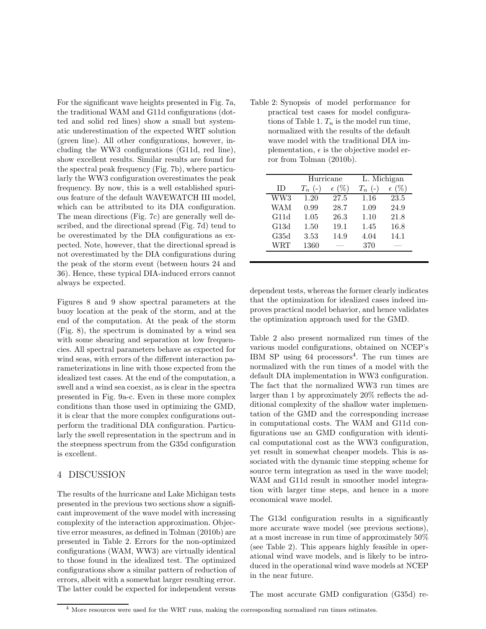For the significant wave heights presented in Fig. 7a, the traditional WAM and G11d configurations (dotted and solid red lines) show a small but systematic underestimation of the expected WRT solution (green line). All other configurations, however, including the WW3 configurations (G11d, red line), show excellent results. Similar results are found for the spectral peak frequency (Fig. 7b), where particularly the WW3 configuration overestimates the peak frequency. By now, this is a well established spurious feature of the default WAVEWATCH III model, which can be attributed to its DIA configuration. The mean directions (Fig. 7c) are generally well described, and the directional spread (Fig. 7d) tend to be overestimated by the DIA configurations as expected. Note, however, that the directional spread is not overestimated by the DIA configurations during the peak of the storm event (between hours 24 and 36). Hence, these typical DIA-induced errors cannot always be expected.

Figures 8 and 9 show spectral parameters at the buoy location at the peak of the storm, and at the end of the computation. At the peak of the storm (Fig. 8), the spectrum is dominated by a wind sea with some shearing and separation at low frequencies. All spectral parameters behave as expected for wind seas, with errors of the different interaction parameterizations in line with those expected from the idealized test cases. At the end of the computation, a swell and a wind sea coexist, as is clear in the spectra presented in Fig. 9a-c. Even in these more complex conditions than those used in optimizing the GMD, it is clear that the more complex configurations outperform the traditional DIA configuration. Particularly the swell representation in the spectrum and in the steepness spectrum from the G35d configuration is excellent.

### 4 DISCUSSION

The results of the hurricane and Lake Michigan tests presented in the previous two sections show a significant improvement of the wave model with increasing complexity of the interaction approximation. Objective error measures, as defined in Tolman (2010b) are presented in Table 2. Errors for the non-optimized configurations (WAM, WW3) are virtually identical to those found in the idealized test. The optimized configurations show a similar pattern of reduction of errors, albeit with a somewhat larger resulting error. The latter could be expected for independent versus

Table 2: Synopsis of model performance for practical test cases for model configurations of Table 1.  $T_n$  is the model run time, normalized with the results of the default wave model with the traditional DIA implementation,  $\epsilon$  is the objective model error from Tolman (2010b).

|            | Hurricane |                | L. Michigan |                |
|------------|-----------|----------------|-------------|----------------|
| ΙD         | $T_n$ (-) | $\epsilon$ (%) | $T_n$ (-)   | $\epsilon$ (%) |
| WW3        | 1.20      | 27.5           | 1.16        | 23.5           |
| <b>WAM</b> | 0.99      | 28.7           | 1.09        | 24.9           |
| G11d       | 1.05      | 26.3           | 1.10        | 21.8           |
| G13d       | 1.50      | 19.1           | 1.45        | 16.8           |
| G35d       | 3.53      | 14.9           | 4.04        | 14.1           |
| WRT        | 1360      |                | 370         |                |

dependent tests, whereas the former clearly indicates that the optimization for idealized cases indeed improves practical model behavior, and hence validates the optimization approach used for the GMD.

Table 2 also present normalized run times of the various model configurations, obtained on NCEP's IBM SP using 64 processors<sup>4</sup> . The run times are normalized with the run times of a model with the default DIA implementation in WW3 configuration. The fact that the normalized WW3 run times are larger than 1 by approximately 20% reflects the additional complexity of the shallow water implementation of the GMD and the corresponding increase in computational costs. The WAM and G11d configurations use an GMD configuration with identical computational cost as the WW3 configuration, yet result in somewhat cheaper models. This is associated with the dynamic time stepping scheme for source term integration as used in the wave model; WAM and G11d result in smoother model integration with larger time steps, and hence in a more economical wave model.

The G13d configuration results in a significantly more accurate wave model (see previous sections), at a most increase in run time of approximately 50% (see Table 2). This appears highly feasible in operational wind wave models, and is likely to be introduced in the operational wind wave models at NCEP in the near future.

The most accurate GMD configuration (G35d) re-

<sup>4</sup> More resources were used for the WRT runs, making the corresponding normalized run times estimates.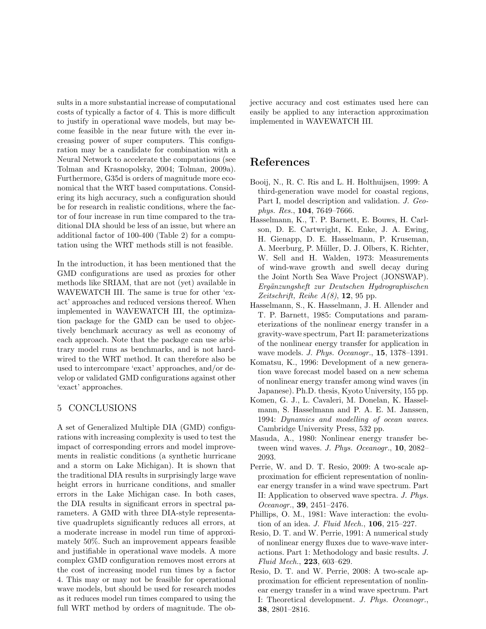sults in a more substantial increase of computational costs of typically a factor of 4. This is more difficult to justify in operational wave models, but may become feasible in the near future with the ever increasing power of super computers. This configuration may be a candidate for combination with a Neural Network to accelerate the computations (see Tolman and Krasnopolsky, 2004; Tolman, 2009a). Furthermore, G35d is orders of magnitude more economical that the WRT based computations. Considering its high accuracy, such a configuration should be for research in realistic conditions, where the factor of four increase in run time compared to the traditional DIA should be less of an issue, but where an additional factor of 100-400 (Table 2) for a computation using the WRT methods still is not feasible.

In the introduction, it has been mentioned that the GMD configurations are used as proxies for other methods like SRIAM, that are not (yet) available in WAVEWATCH III. The same is true for other 'exact' approaches and reduced versions thereof. When implemented in WAVEWATCH III, the optimization package for the GMD can be used to objectively benchmark accuracy as well as economy of each approach. Note that the package can use arbitrary model runs as benchmarks, and is not hardwired to the WRT method. It can therefore also be used to intercompare 'exact' approaches, and/or develop or validated GMD configurations against other 'exact' approaches.

## 5 CONCLUSIONS

A set of Generalized Multiple DIA (GMD) configurations with increasing complexity is used to test the impact of corresponding errors and model improvements in realistic conditions (a synthetic hurricane and a storm on Lake Michigan). It is shown that the traditional DIA results in surprisingly large wave height errors in hurricane conditions, and smaller errors in the Lake Michigan case. In both cases, the DIA results in significant errors in spectral parameters. A GMD with three DIA-style representative quadruplets significantly reduces all errors, at a moderate increase in model run time of approximately 50%. Such an improvement appears feasible and justifiable in operational wave models. A more complex GMD configuration removes most errors at the cost of increasing model run times by a factor 4. This may or may not be feasible for operational wave models, but should be used for research modes as it reduces model run times compared to using the full WRT method by orders of magnitude. The objective accuracy and cost estimates used here can easily be applied to any interaction approximation implemented in WAVEWATCH III.

# References

- Booij, N., R. C. Ris and L. H. Holthuijsen, 1999: A third-generation wave model for coastal regions, Part I, model description and validation. J. Geophys. Res., 104, 7649–7666.
- Hasselmann, K., T. P. Barnett, E. Bouws, H. Carlson, D. E. Cartwright, K. Enke, J. A. Ewing, H. Gienapp, D. E. Hasselmann, P. Kruseman, A. Meerburg, P. Müller, D. J. Olbers, K. Richter, W. Sell and H. Walden, 1973: Measurements of wind-wave growth and swell decay during the Joint North Sea Wave Project (JONSWAP). Ergänzungsheft zur Deutschen Hydrographischen Zeitschrift, Reihe  $A(8)$ , 12, 95 pp.
- Hasselmann, S., K. Hasselmann, J. H. Allender and T. P. Barnett, 1985: Computations and parameterizations of the nonlinear energy transfer in a gravity-wave spectrum, Part II: parameterizations of the nonlinear energy transfer for application in wave models. J. Phys. Oceanogr., 15, 1378–1391.
- Komatsu, K., 1996: Development of a new generation wave forecast model based on a new schema of nonlinear energy transfer among wind waves (in Japanese). Ph.D. thesis, Kyoto University, 155 pp.
- Komen, G. J., L. Cavaleri, M. Donelan, K. Hasselmann, S. Hasselmann and P. A. E. M. Janssen, 1994: Dynamics and modelling of ocean waves. Cambridge University Press, 532 pp.
- Masuda, A., 1980: Nonlinear energy transfer between wind waves. J. Phys. Oceanogr., 10, 2082– 2093.
- Perrie, W. and D. T. Resio, 2009: A two-scale approximation for efficient representation of nonlinear energy transfer in a wind wave spectrum. Part II: Application to observed wave spectra. J. Phys. Oceanogr., 39, 2451–2476.
- Phillips, O. M., 1981: Wave interaction: the evolution of an idea. J. Fluid Mech., 106, 215–227.
- Resio, D. T. and W. Perrie, 1991: A numerical study of nonlinear energy fluxes due to wave-wave interactions. Part 1: Methodology and basic results. J. Fluid Mech., 223, 603–629.
- Resio, D. T. and W. Perrie, 2008: A two-scale approximation for efficient representation of nonlinear energy transfer in a wind wave spectrum. Part I: Theoretical development. J. Phys. Oceanogr., 38, 2801–2816.